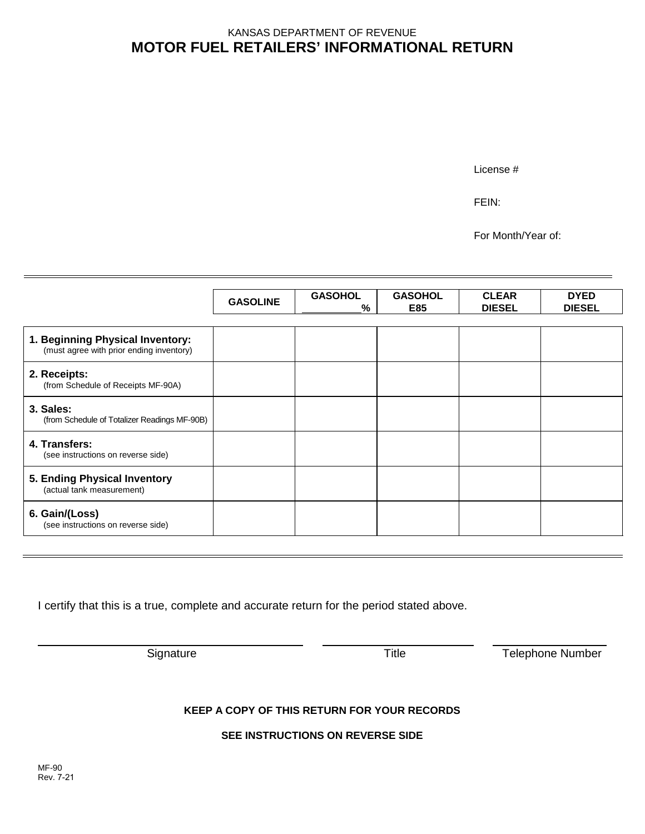## **MOTOR FUEL RETAILERS' INFORMATIONAL RETURN** KANSAS DEPARTMENT OF REVENUE

License #

FEIN:

For Month/Year of:

|                                                                              | <b>GASOLINE</b> | <b>GASOHOL</b><br>% | <b>GASOHOL</b><br>E85 | <b>CLEAR</b><br><b>DIESEL</b> | <b>DYED</b><br><b>DIESEL</b> |
|------------------------------------------------------------------------------|-----------------|---------------------|-----------------------|-------------------------------|------------------------------|
| 1. Beginning Physical Inventory:<br>(must agree with prior ending inventory) |                 |                     |                       |                               |                              |
| 2. Receipts:<br>(from Schedule of Receipts MF-90A)                           |                 |                     |                       |                               |                              |
| 3. Sales:<br>(from Schedule of Totalizer Readings MF-90B)                    |                 |                     |                       |                               |                              |
| 4. Transfers:<br>(see instructions on reverse side)                          |                 |                     |                       |                               |                              |
| 5. Ending Physical Inventory<br>(actual tank measurement)                    |                 |                     |                       |                               |                              |
| 6. Gain/(Loss)<br>(see instructions on reverse side)                         |                 |                     |                       |                               |                              |

I certify that this is a true, complete and accurate return for the period stated above.

Signature Title Telephone Number

## **KEEP A COPY OF THIS RETURN FOR YOUR RECORDS**

**SEE INSTRUCTIONS ON REVERSE SIDE**